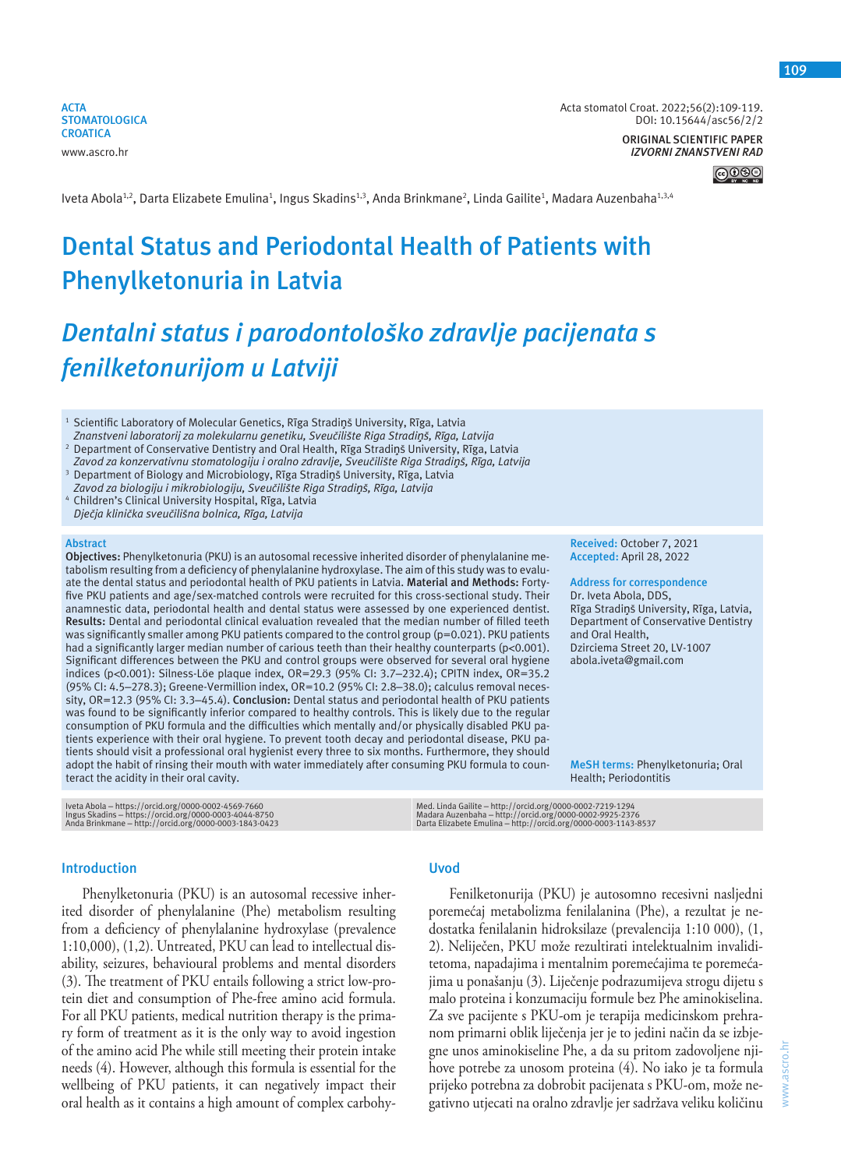**ACTA STOMATOLOGICA CROATICA** www.ascro.hr

Acta stomatol Croat. 2022;56(2):109-119. DOI: 10.15644/asc56/2/2

> **ORIGINAL SCIENTIFIC PAPER** *IZVORNI ZNANSTVENI RAD*

> > <u>@0®0</u>

lveta Abola<sup>1,2</sup>, Darta Elizabete Emulina<sup>1</sup>, Ingus Skadins<sup>1,3</sup>, Anda Brinkmane<sup>2</sup>, Linda Gailite<sup>1</sup>, Madara Auzenbaha<sup>1,3,4</sup>

# **Dental Status and Periodontal Health of Patients with Phenylketonuria in Latvia**

# *Dentalni status i parodontološko zdravlje pacijenata s fenilketonurijom u Latviji*

<sup>1</sup> Scientific Laboratory of Molecular Genetics, Rīga Stradiņš University, Rīga, Latvia *Znanstveni laboratorij za molekularnu genetiku, Sveučilište Riga Stradiņš, Rīga, Latvija*

2 Department of Conservative Dentistry and Oral Health, Rīga Stradiņš University, Rīga, Latvia *Zavod za konzervativnu stomatologiju i oralno zdravlje, Sveučilište Riga Stradiņš, Rīga, Latvija*

3 Department of Biology and Microbiology, Rīga Stradiņš University, Rīga, Latvia *Zavod za biologiju i mikrobiologiju, Sveučilište Riga Stradiņš, Rīga, Latvija*

4 Children's Clinical University Hospital, Rīga, Latvia *Dječja klinička sveučilišna bolnica, Rīga, Latvija*

#### **Abstract**

**Objectives:** Phenylketonuria (PKU) is an autosomal recessive inherited disorder of phenylalanine metabolism resulting from a deficiency of phenylalanine hydroxylase. The aim of this study was to evaluate the dental status and periodontal health of PKU patients in Latvia. **Material and Methods:** Fortyfive PKU patients and age/sex-matched controls were recruited for this cross-sectional study. Their anamnestic data, periodontal health and dental status were assessed by one experienced dentist. **Results:** Dental and periodontal clinical evaluation revealed that the median number of filled teeth was significantly smaller among PKU patients compared to the control group (p=0.021). PKU patients had a significantly larger median number of carious teeth than their healthy counterparts (p<0.001). Significant differences between the PKU and control groups were observed for several oral hygiene indices (p<0.001): Silness-Löe plaque index, OR=29.3 (95% CI: 3.7–232.4); CPITN index, OR=35.2 (95% CI: 4.5–278.3); Greene-Vermillion index, OR=10.2 (95% CI: 2.8–38.0); calculus removal necessity, OR=12.3 (95% CI: 3.3–45.4). **Conclusion:** Dental status and periodontal health of PKU patients was found to be significantly inferior compared to healthy controls. This is likely due to the regular consumption of PKU formula and the difficulties which mentally and/or physically disabled PKU patients experience with their oral hygiene. To prevent tooth decay and periodontal disease, PKU patients should visit a professional oral hygienist every three to six months. Furthermore, they should adopt the habit of rinsing their mouth with water immediately after consuming PKU formula to counteract the acidity in their oral cavity.

Iveta Abola – https://orcid.org/0000-0002-4569-7660 Ingus Skadins – https://orcid.org/0000-0003-4044-8750 Anda Brinkmane – http://orcid.org/0000-0003-1843-0423

## **Introduction**

Phenylketonuria (PKU) is an autosomal recessive inherited disorder of phenylalanine (Phe) metabolism resulting from a deficiency of phenylalanine hydroxylase (prevalence 1:10,000), (1,2). Untreated, PKU can lead to intellectual disability, seizures, behavioural problems and mental disorders (3). The treatment of PKU entails following a strict low-protein diet and consumption of Phe-free amino acid formula. For all PKU patients, medical nutrition therapy is the primary form of treatment as it is the only way to avoid ingestion of the amino acid Phe while still meeting their protein intake needs (4). However, although this formula is essential for the wellbeing of PKU patients, it can negatively impact their oral health as it contains a high amount of complex carbohy-

## **Uvod**

Fenilketonurija (PKU) je autosomno recesivni nasljedni poremećaj metabolizma fenilalanina (Phe), a rezultat je nedostatka fenilalanin hidroksilaze (prevalencija 1:10 000), (1, 2). Neliječen, PKU može rezultirati intelektualnim invaliditetoma, napadajima i mentalnim poremećajima te poremećajima u ponašanju (3). Liječenje podrazumijeva strogu dijetu s malo proteina i konzumaciju formule bez Phe aminokiselina. Za sve pacijente s PKU-om je terapija medicinskom prehranom primarni oblik liječenja jer je to jedini način da se izbjegne unos aminokiseline Phe, a da su pritom zadovoljene njihove potrebe za unosom proteina (4). No iako je ta formula prijeko potrebna za dobrobit pacijenata s PKU-om, može negativno utjecati na oralno zdravlje jer sadržava veliku količinu

Med. Linda Gailite – http://orcid.org/0000-0002-7219-1294<br>Madara Auzenbaha – http://orcid.org/0000-0002-9925-2376<br>Darta Elizabete Emulina – http://orcid.org/0000-0003-1143-8537

**Received:** October 7, 2021 **Accepted:** April 28, 2022

**Address for correspondence** Dr. Iveta Abola, DDS, Rīga Stradiņš University, Rīga, Latvia, Department of Conservative Dentistry and Oral Health, Dzirciema Street 20, LV-1007 abola.iveta@gmail.com

**MeSH terms:** Phenylketonuria; Oral Health; Periodontitis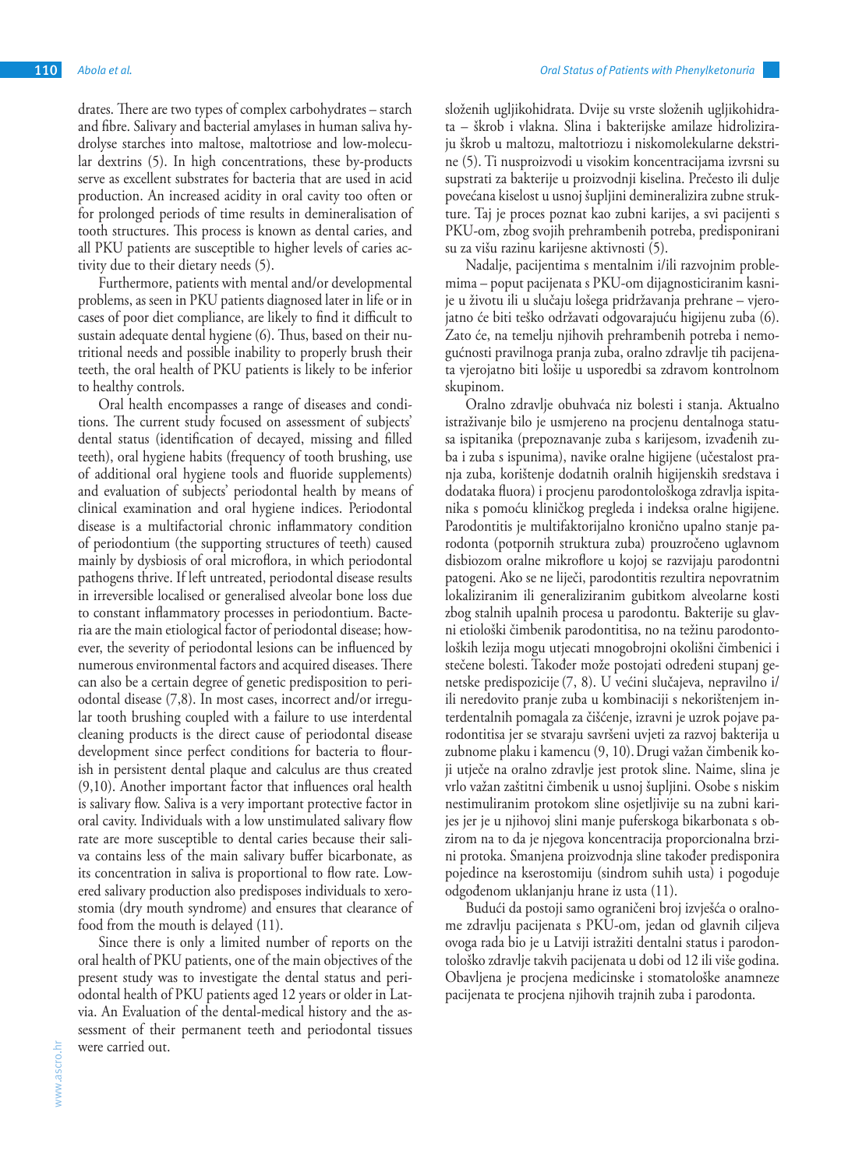drates. There are two types of complex carbohydrates – starch and fibre. Salivary and bacterial amylases in human saliva hydrolyse starches into maltose, maltotriose and low-molecular dextrins (5). In high concentrations, these by-products serve as excellent substrates for bacteria that are used in acid production. An increased acidity in oral cavity too often or for prolonged periods of time results in demineralisation of tooth structures. This process is known as dental caries, and all PKU patients are susceptible to higher levels of caries activity due to their dietary needs (5).

Furthermore, patients with mental and/or developmental problems, as seen in PKU patients diagnosed later in life or in cases of poor diet compliance, are likely to find it difficult to sustain adequate dental hygiene (6). Thus, based on their nutritional needs and possible inability to properly brush their teeth, the oral health of PKU patients is likely to be inferior to healthy controls.

Oral health encompasses a range of diseases and conditions. The current study focused on assessment of subjects' dental status (identification of decayed, missing and filled teeth), oral hygiene habits (frequency of tooth brushing, use of additional oral hygiene tools and fluoride supplements) and evaluation of subjects' periodontal health by means of clinical examination and oral hygiene indices. Periodontal disease is a multifactorial chronic inflammatory condition of periodontium (the supporting structures of teeth) caused mainly by dysbiosis of oral microflora, in which periodontal pathogens thrive. If left untreated, periodontal disease results in irreversible localised or generalised alveolar bone loss due to constant inflammatory processes in periodontium. Bacteria are the main etiological factor of periodontal disease; however, the severity of periodontal lesions can be influenced by numerous environmental factors and acquired diseases. There can also be a certain degree of genetic predisposition to periodontal disease (7,8). In most cases, incorrect and/or irregular tooth brushing coupled with a failure to use interdental cleaning products is the direct cause of periodontal disease development since perfect conditions for bacteria to flourish in persistent dental plaque and calculus are thus created (9,10). Another important factor that influences oral health is salivary flow. Saliva is a very important protective factor in oral cavity. Individuals with a low unstimulated salivary flow rate are more susceptible to dental caries because their saliva contains less of the main salivary buffer bicarbonate, as its concentration in saliva is proportional to flow rate. Lowered salivary production also predisposes individuals to xerostomia (dry mouth syndrome) and ensures that clearance of food from the mouth is delayed (11).

Since there is only a limited number of reports on the oral health of PKU patients, one of the main objectives of the present study was to investigate the dental status and periodontal health of PKU patients aged 12 years or older in Latvia. An Evaluation of the dental-medical history and the assessment of their permanent teeth and periodontal tissues were carried out.

složenih ugljikohidrata. Dvije su vrste složenih ugljikohidrata – škrob i vlakna. Slina i bakterijske amilaze hidroliziraju škrob u maltozu, maltotriozu i niskomolekularne dekstrine (5). Ti nusproizvodi u visokim koncentracijama izvrsni su supstrati za bakterije u proizvodnji kiselina. Prečesto ili dulje povećana kiselost u usnoj šupljini demineralizira zubne strukture. Taj je proces poznat kao zubni karijes, a svi pacijenti s PKU-om, zbog svojih prehrambenih potreba, predisponirani su za višu razinu karijesne aktivnosti (5).

Nadalje, pacijentima s mentalnim i/ili razvojnim problemima – poput pacijenata s PKU-om dijagnosticiranim kasnije u životu ili u slučaju lošega pridržavanja prehrane – vjerojatno će biti teško održavati odgovarajuću higijenu zuba (6). Zato će, na temelju njihovih prehrambenih potreba i nemogućnosti pravilnoga pranja zuba, oralno zdravlje tih pacijenata vjerojatno biti lošije u usporedbi sa zdravom kontrolnom skupinom.

Oralno zdravlje obuhvaća niz bolesti i stanja. Aktualno istraživanje bilo je usmjereno na procjenu dentalnoga statusa ispitanika (prepoznavanje zuba s karijesom, izvađenih zuba i zuba s ispunima), navike oralne higijene (učestalost pranja zuba, korištenje dodatnih oralnih higijenskih sredstava i dodataka fluora) i procjenu parodontološkoga zdravlja ispitanika s pomoću kliničkog pregleda i indeksa oralne higijene. Parodontitis je multifaktorijalno kronično upalno stanje parodonta (potpornih struktura zuba) prouzročeno uglavnom disbiozom oralne mikroflore u kojoj se razvijaju parodontni patogeni. Ako se ne liječi, parodontitis rezultira nepovratnim lokaliziranim ili generaliziranim gubitkom alveolarne kosti zbog stalnih upalnih procesa u parodontu. Bakterije su glavni etiološki čimbenik parodontitisa, no na težinu parodontoloških lezija mogu utjecati mnogobrojni okolišni čimbenici i stečene bolesti. Također može postojati određeni stupanj genetske predispozicije(7, 8). U većini slučajeva, nepravilno i/ ili neredovito pranje zuba u kombinaciji s nekorištenjem interdentalnih pomagala za čišćenje, izravni je uzrok pojave parodontitisa jer se stvaraju savršeni uvjeti za razvoj bakterija u zubnome plaku i kamencu (9, 10).Drugi važan čimbenik koji utječe na oralno zdravlje jest protok sline. Naime, slina je vrlo važan zaštitni čimbenik u usnoj šupljini. Osobe s niskim nestimuliranim protokom sline osjetljivije su na zubni karijes jer je u njihovoj slini manje puferskoga bikarbonata s obzirom na to da je njegova koncentracija proporcionalna brzini protoka. Smanjena proizvodnja sline također predisponira pojedince na kserostomiju (sindrom suhih usta) i pogoduje odgođenom uklanjanju hrane iz usta (11).

Budući da postoji samo ograničeni broj izvješća o oralnome zdravlju pacijenata s PKU-om, jedan od glavnih ciljeva ovoga rada bio je u Latviji istražiti dentalni status i parodontološko zdravlje takvih pacijenata u dobi od 12 ili više godina. Obavljena je procjena medicinske i stomatološke anamneze pacijenata te procjena njihovih trajnih zuba i parodonta.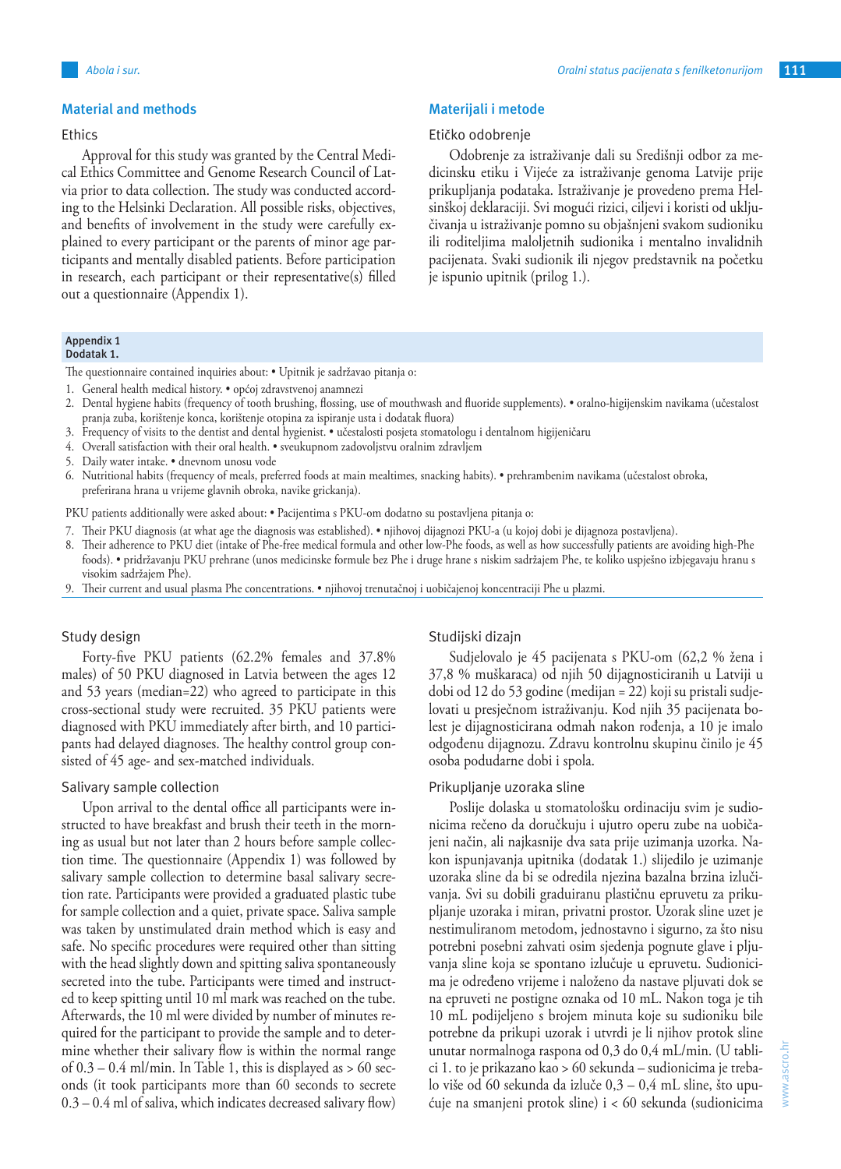#### **Material and methods**

## **Ethics**

Approval for this study was granted by the Central Medical Ethics Committee and Genome Research Council of Latvia prior to data collection. The study was conducted according to the Helsinki Declaration. All possible risks, objectives, and benefits of involvement in the study were carefully explained to every participant or the parents of minor age participants and mentally disabled patients. Before participation in research, each participant or their representative(s) filled out a questionnaire (Appendix 1).

## **Materijali i metode**

### Etičko odobrenje

Odobrenje za istraživanje dali su Središnji odbor za medicinsku etiku i Vijeće za istraživanje genoma Latvije prije prikupljanja podataka. Istraživanje je provedeno prema Helsinškoj deklaraciji. Svi mogući rizici, ciljevi i koristi od uključivanja u istraživanje pomno su objašnjeni svakom sudioniku ili roditeljima maloljetnih sudionika i mentalno invalidnih pacijenata. Svaki sudionik ili njegov predstavnik na početku je ispunio upitnik (prilog 1.).

#### **Appendix 1 Dodatak 1.**

The questionnaire contained inquiries about: • Upitnik je sadržavao pitanja o:

- 1. General health medical history. općoj zdravstvenoj anamnezi
- 2. Dental hygiene habits (frequency of tooth brushing, flossing, use of mouthwash and fluoride supplements). oralno-higijenskim navikama (učestalost pranja zuba, korištenje konca, korištenje otopina za ispiranje usta i dodatak fluora)
- 3. Frequency of visits to the dentist and dental hygienist. učestalosti posjeta stomatologu i dentalnom higijeničaru
- 4. Overall satisfaction with their oral health. sveukupnom zadovoljstvu oralnim zdravljem
- 5. Daily water intake. dnevnom unosu vode
- 6. Nutritional habits (frequency of meals, preferred foods at main mealtimes, snacking habits). prehrambenim navikama (učestalost obroka, preferirana hrana u vrijeme glavnih obroka, navike grickanja).

PKU patients additionally were asked about: • Pacijentima s PKU-om dodatno su postavljena pitanja o:

- 7. Their PKU diagnosis (at what age the diagnosis was established). njihovoj dijagnozi PKU-a (u kojoj dobi je dijagnoza postavljena).
- 8. Their adherence to PKU diet (intake of Phe-free medical formula and other low-Phe foods, as well as how successfully patients are avoiding high-Phe foods). • pridržavanju PKU prehrane (unos medicinske formule bez Phe i druge hrane s niskim sadržajem Phe, te koliko uspješno izbjegavaju hranu s visokim sadržajem Phe).
- 9. Their current and usual plasma Phe concentrations. njihovoj trenutačnoj i uobičajenoj koncentraciji Phe u plazmi.

#### Study design

Forty-five PKU patients (62.2% females and 37.8% males) of 50 PKU diagnosed in Latvia between the ages 12 and 53 years (median=22) who agreed to participate in this cross-sectional study were recruited. 35 PKU patients were diagnosed with PKU immediately after birth, and 10 participants had delayed diagnoses. The healthy control group consisted of 45 age- and sex-matched individuals.

### Salivary sample collection

Upon arrival to the dental office all participants were instructed to have breakfast and brush their teeth in the morning as usual but not later than 2 hours before sample collection time. The questionnaire (Appendix 1) was followed by salivary sample collection to determine basal salivary secretion rate. Participants were provided a graduated plastic tube for sample collection and a quiet, private space. Saliva sample was taken by unstimulated drain method which is easy and safe. No specific procedures were required other than sitting with the head slightly down and spitting saliva spontaneously secreted into the tube. Participants were timed and instructed to keep spitting until 10 ml mark was reached on the tube. Afterwards, the 10 ml were divided by number of minutes required for the participant to provide the sample and to determine whether their salivary flow is within the normal range of  $0.3 - 0.4$  ml/min. In Table 1, this is displayed as  $> 60$  seconds (it took participants more than 60 seconds to secrete 0.3 – 0.4 ml of saliva, which indicates decreased salivary flow)

#### Studijski dizajn

Sudjelovalo je 45 pacijenata s PKU-om (62,2 % žena i 37,8 % muškaraca) od njih 50 dijagnosticiranih u Latviji u dobi od 12 do 53 godine (medijan = 22) koji su pristali sudjelovati u presječnom istraživanju. Kod njih 35 pacijenata bolest je dijagnosticirana odmah nakon rođenja, a 10 je imalo odgođenu dijagnozu. Zdravu kontrolnu skupinu činilo je 45 osoba podudarne dobi i spola.

### Prikupljanje uzoraka sline

Poslije dolaska u stomatološku ordinaciju svim je sudionicima rečeno da doručkuju i ujutro operu zube na uobičajeni način, ali najkasnije dva sata prije uzimanja uzorka. Nakon ispunjavanja upitnika (dodatak 1.) slijedilo je uzimanje uzoraka sline da bi se odredila njezina bazalna brzina izlučivanja. Svi su dobili graduiranu plastičnu epruvetu za prikupljanje uzoraka i miran, privatni prostor. Uzorak sline uzet je nestimuliranom metodom, jednostavno i sigurno, za što nisu potrebni posebni zahvati osim sjedenja pognute glave i pljuvanja sline koja se spontano izlučuje u epruvetu. Sudionicima je određeno vrijeme i naloženo da nastave pljuvati dok se na epruveti ne postigne oznaka od 10 mL. Nakon toga je tih 10 mL podijeljeno s brojem minuta koje su sudioniku bile potrebne da prikupi uzorak i utvrdi je li njihov protok sline unutar normalnoga raspona od 0,3 do 0,4 mL/min. (U tablici 1. to je prikazano kao > 60 sekunda – sudionicima je trebalo više od 60 sekunda da izluče 0,3 – 0,4 mL sline, što upućuje na smanjeni protok sline) i < 60 sekunda (sudionicima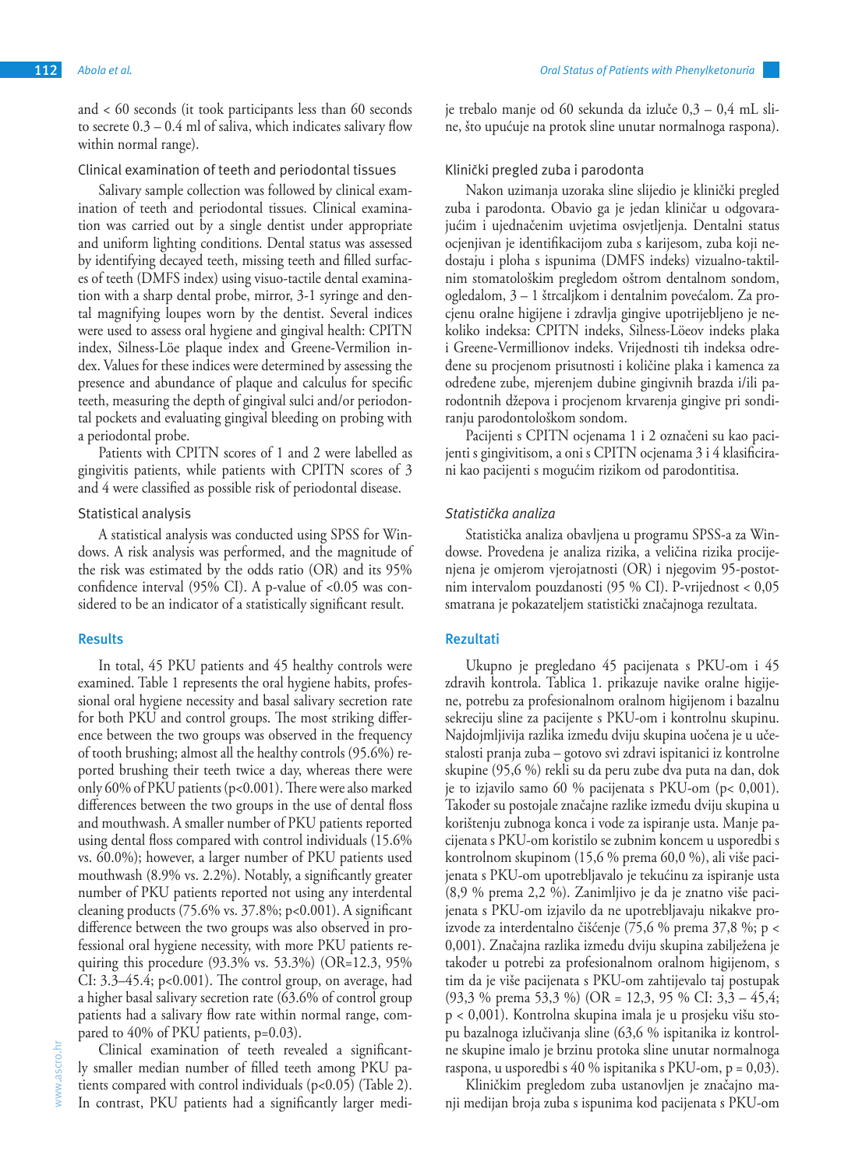and < 60 seconds (it took participants less than 60 seconds to secrete  $0.3 - 0.4$  ml of saliva, which indicates salivary flow within normal range).

Clinical examination of teeth and periodontal tissues

Salivary sample collection was followed by clinical examination of teeth and periodontal tissues. Clinical examination was carried out by a single dentist under appropriate and uniform lighting conditions. Dental status was assessed by identifying decayed teeth, missing teeth and filled surfaces of teeth (DMFS index) using visuo-tactile dental examination with a sharp dental probe, mirror, 3-1 syringe and dental magnifying loupes worn by the dentist. Several indices were used to assess oral hygiene and gingival health: CPITN index, Silness-Löe plaque index and Greene-Vermilion index. Values for these indices were determined by assessing the presence and abundance of plaque and calculus for specific teeth, measuring the depth of gingival sulci and/or periodontal pockets and evaluating gingival bleeding on probing with a periodontal probe.

Patients with CPITN scores of 1 and 2 were labelled as gingivitis patients, while patients with CPITN scores of 3 and 4 were classified as possible risk of periodontal disease.

## Statistical analysis

A statistical analysis was conducted using SPSS for Windows. A risk analysis was performed, and the magnitude of the risk was estimated by the odds ratio (OR) and its 95% confidence interval  $(95\% \text{ CI})$ . A p-value of <0.05 was considered to be an indicator of a statistically significant result.

#### **Results**

In total, 45 PKU patients and 45 healthy controls were examined. Table 1 represents the oral hygiene habits, professional oral hygiene necessity and basal salivary secretion rate for both PKU and control groups. The most striking difference between the two groups was observed in the frequency of tooth brushing; almost all the healthy controls (95.6%) reported brushing their teeth twice a day, whereas there were only 60% of PKU patients (p<0.001). There were also marked differences between the two groups in the use of dental floss and mouthwash. A smaller number of PKU patients reported using dental floss compared with control individuals (15.6% vs. 60.0%); however, a larger number of PKU patients used mouthwash (8.9% vs. 2.2%). Notably, a significantly greater number of PKU patients reported not using any interdental cleaning products (75.6% vs. 37.8%; p<0.001). A significant difference between the two groups was also observed in professional oral hygiene necessity, with more PKU patients requiring this procedure (93.3% vs. 53.3%) (OR=12.3, 95% CI: 3.3–45.4; p<0.001). The control group, on average, had a higher basal salivary secretion rate (63.6% of control group patients had a salivary flow rate within normal range, compared to 40% of PKU patients, p=0.03).

Clinical examination of teeth revealed a significantly smaller median number of filled teeth among PKU patients compared with control individuals  $(p<0.05)$  (Table 2). In contrast, PKU patients had a significantly larger mediKlinički pregled zuba i parodonta

Nakon uzimanja uzoraka sline slijedio je klinički pregled zuba i parodonta. Obavio ga je jedan kliničar u odgovarajućim i ujednačenim uvjetima osvjetljenja. Dentalni status ocjenjivan je identifikacijom zuba s karijesom, zuba koji nedostaju i ploha s ispunima (DMFS indeks) vizualno-taktilnim stomatološkim pregledom oštrom dentalnom sondom, ogledalom, 3 – 1 štrcaljkom i dentalnim povećalom. Za procjenu oralne higijene i zdravlja gingive upotrijebljeno je nekoliko indeksa: CPITN indeks, Silness-Löeov indeks plaka i Greene-Vermillionov indeks. Vrijednosti tih indeksa određene su procjenom prisutnosti i količine plaka i kamenca za određene zube, mjerenjem dubine gingivnih brazda i/ili parodontnih džepova i procjenom krvarenja gingive pri sondiranju parodontološkom sondom.

je trebalo manje od 60 sekunda da izluče 0,3 – 0,4 mL sline, što upućuje na protok sline unutar normalnoga raspona).

Pacijenti s CPITN ocjenama 1 i 2 označeni su kao pacijenti s gingivitisom, a oni s CPITN ocjenama 3 i 4 klasificirani kao pacijenti s mogućim rizikom od parodontitisa.

## *Statistička analiza*

Statistička analiza obavljena u programu SPSS-a za Windowse. Provedena je analiza rizika, a veličina rizika procijenjena je omjerom vjerojatnosti (OR) i njegovim 95-postotnim intervalom pouzdanosti (95 % CI). P-vrijednost < 0,05 smatrana je pokazateljem statistički značajnoga rezultata.

## **Rezultati**

Ukupno je pregledano 45 pacijenata s PKU-om i 45 zdravih kontrola. Tablica 1. prikazuje navike oralne higijene, potrebu za profesionalnom oralnom higijenom i bazalnu sekreciju sline za pacijente s PKU-om i kontrolnu skupinu. Najdojmljivija razlika između dviju skupina uočena je u učestalosti pranja zuba – gotovo svi zdravi ispitanici iz kontrolne skupine (95,6 %) rekli su da peru zube dva puta na dan, dok je to izjavilo samo 60 % pacijenata s PKU-om (p< 0,001). Također su postojale značajne razlike između dviju skupina u korištenju zubnoga konca i vode za ispiranje usta. Manje pacijenata s PKU-om koristilo se zubnim koncem u usporedbi s kontrolnom skupinom (15,6 % prema 60,0 %), ali više pacijenata s PKU-om upotrebljavalo je tekućinu za ispiranje usta (8,9 % prema 2,2 %). Zanimljivo je da je znatno više pacijenata s PKU-om izjavilo da ne upotrebljavaju nikakve proizvode za interdentalno čišćenje (75,6 % prema 37,8 %; p < 0,001). Značajna razlika između dviju skupina zabilježena je također u potrebi za profesionalnom oralnom higijenom, s tim da je više pacijenata s PKU-om zahtijevalo taj postupak (93,3 % prema 53,3 %) (OR = 12,3, 95 % CI: 3,3 – 45,4; p < 0,001). Kontrolna skupina imala je u prosjeku višu stopu bazalnoga izlučivanja sline (63,6 % ispitanika iz kontrolne skupine imalo je brzinu protoka sline unutar normalnoga raspona, u usporedbi s 40 % ispitanika s PKU-om, p = 0,03).

Kliničkim pregledom zuba ustanovljen je značajno manji medijan broja zuba s ispunima kod pacijenata s PKU-om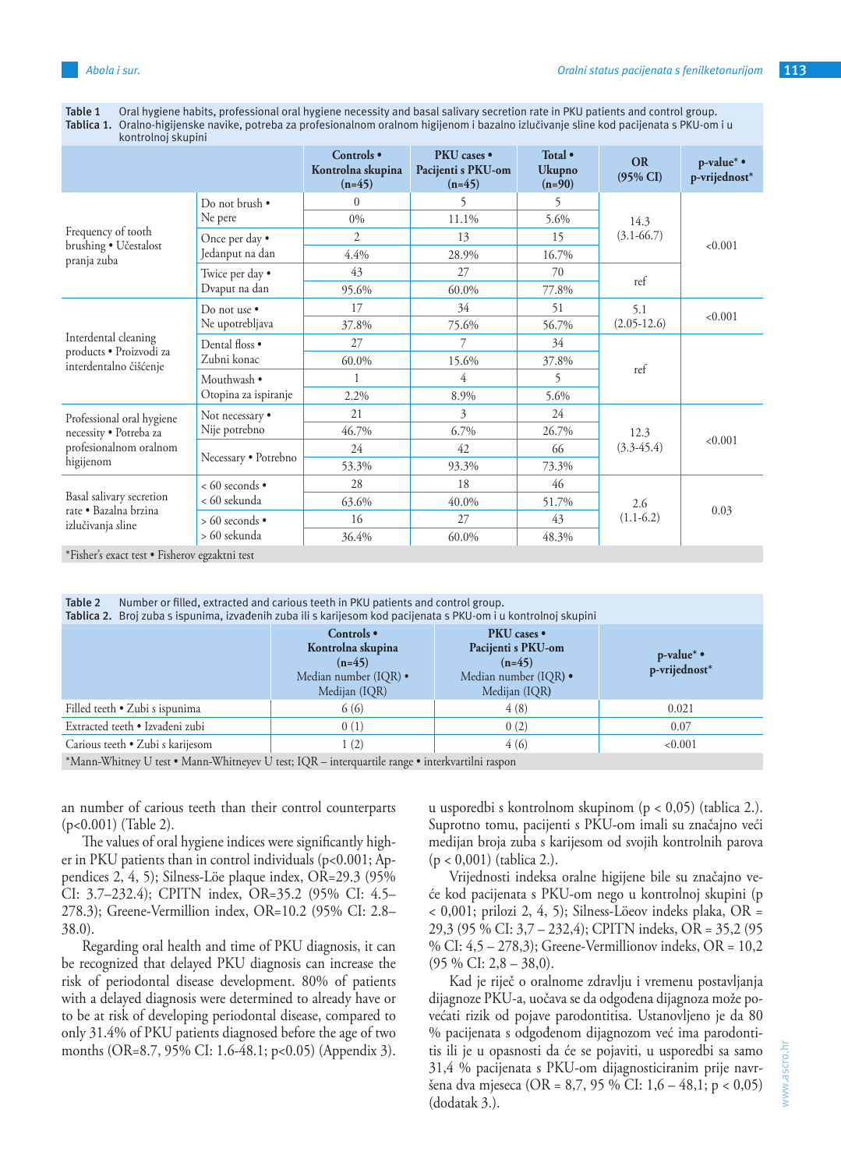| Table 1 Oral hygiene habits, professional oral hygiene necessity and basal salivary secretion rate in PKU patients and control group.    |
|------------------------------------------------------------------------------------------------------------------------------------------|
| Tablica 1. Oralno-higijenske navike, potreba za profesionalnom oralnom higijenom i bazalno izlučivanje sline kod pacijenata s PKU-om i u |

| kontrolnoj skupini                                |                                          |                                             |                                               |                               |                                  |                             |
|---------------------------------------------------|------------------------------------------|---------------------------------------------|-----------------------------------------------|-------------------------------|----------------------------------|-----------------------------|
|                                                   |                                          | Controls •<br>Kontrolna skupina<br>$(n=45)$ | PKU cases •<br>Pacijenti s PKU-om<br>$(n=45)$ | Total •<br>Ukupno<br>$(n=90)$ | <b>OR</b><br>$(95\% \text{ CI})$ | p-value* •<br>p-vrijednost* |
|                                                   | Do not brush •                           | $\theta$                                    | 5                                             | 5                             | 14.3<br>$(3.1 - 66.7)$           | < 0.001                     |
|                                                   | Ne pere                                  | $0\%$                                       | 11.1%                                         | 5.6%                          |                                  |                             |
| Frequency of tooth<br>brushing · Učestalost       | Once per day •<br>Jedanput na dan        | $\overline{2}$                              | 13                                            | 15                            |                                  |                             |
| pranja zuba                                       |                                          | 4.4%                                        | 28.9%                                         | 16.7%                         |                                  |                             |
|                                                   | Twice per day •                          | 43                                          | 27                                            | 70                            | ref                              |                             |
|                                                   | Dvaput na dan                            | 95.6%                                       | 60.0%                                         | 77.8%                         |                                  |                             |
|                                                   | Do not use $\bullet$<br>Ne upotrebljava  | 17                                          | 34                                            | 51                            | 5.1<br>$(2.05-12.6)$             | < 0.001                     |
|                                                   |                                          | 37.8%                                       | 75.6%                                         | 56.7%                         |                                  |                             |
| Interdental cleaning<br>products · Proizvodi za   | Dental floss .<br>Zubni konac            | 27                                          | 7                                             | 34                            | ref                              |                             |
| interdentalno čišćenje                            |                                          | 60.0%                                       | 15.6%                                         | 37.8%                         |                                  |                             |
|                                                   | Mouthwash •<br>Otopina za ispiranje      |                                             | 4                                             | 5                             |                                  |                             |
|                                                   |                                          | 2.2%                                        | 8.9%                                          | 5.6%                          |                                  |                             |
| Professional oral hygiene                         | Not necessary •                          | 21                                          | 3                                             | 24                            |                                  |                             |
| necessity · Potreba za                            | Nije potrebno                            | 46.7%                                       | 6.7%                                          | 26.7%                         | 12.3<br>$(3.3-45.4)$             | < 0.001                     |
| profesionalnom oralnom                            | Necessary · Potrebno                     | 24                                          | 42                                            | 66                            |                                  |                             |
| higijenom                                         |                                          | 53.3%                                       | 93.3%                                         | 73.3%                         |                                  |                             |
|                                                   | $< 60$ seconds $\bullet$<br>< 60 sekunda | 28                                          | 18                                            | 46                            | 2.6<br>$(1.1-6.2)$               | 0.03                        |
| Basal salivary secretion<br>rate · Bazalna brzina |                                          | 63.6%                                       | 40.0%                                         | 51.7%                         |                                  |                             |
| izlučivanja sline                                 | $> 60$ seconds $\bullet$                 | 16                                          | 27                                            | 43                            |                                  |                             |
| $\sim$ $\sim$ $\sim$ $\sim$ $\sim$                | > 60 sekunda                             | 36.4%                                       | 60.0%                                         | 48.3%                         |                                  |                             |

\*Fisher's exact test • Fisherov egzaktni test

| Table 2<br>Number or filled, extracted and carious teeth in PKU patients and control group.<br>Tablica 2. Broj zuba s ispunima, izvađenih zuba ili s karijesom kod pacijenata s PKU-om i u kontrolnoj skupini |                                                                                       |                                                                                                        |                                        |  |
|---------------------------------------------------------------------------------------------------------------------------------------------------------------------------------------------------------------|---------------------------------------------------------------------------------------|--------------------------------------------------------------------------------------------------------|----------------------------------------|--|
|                                                                                                                                                                                                               | Controls •<br>Kontrolna skupina<br>$(n=45)$<br>Median number (IQR) •<br>Medijan (IQR) | <b>PKU</b> cases •<br>Pacijenti s PKU-om<br>$(n=45)$<br>Median number (IQR) $\bullet$<br>Medijan (IQR) | $p$ -value* $\bullet$<br>p-vrijednost* |  |
| Filled teeth • Zubi s ispunima                                                                                                                                                                                | 6 (6)                                                                                 | 4(8)                                                                                                   | 0.021                                  |  |
| Extracted teeth · Izvađeni zubi                                                                                                                                                                               | 0(1)                                                                                  | 0(2)                                                                                                   | 0.07                                   |  |
| Carious teeth • Zubi s karijesom                                                                                                                                                                              | 1(2)                                                                                  | 4(6)                                                                                                   | < 0.001                                |  |
| *Mann-Whitney U test • Mann-Whitneyev U test; IQR – interquartile range • interkvartilni raspon                                                                                                               |                                                                                       |                                                                                                        |                                        |  |

an number of carious teeth than their control counterparts (p<0.001) (Table 2).

The values of oral hygiene indices were significantly higher in PKU patients than in control individuals (p<0.001; Appendices 2, 4, 5); Silness-Löe plaque index, OR=29.3 (95% CI: 3.7–232.4); CPITN index, OR=35.2 (95% CI: 4.5– 278.3); Greene-Vermillion index, OR=10.2 (95% CI: 2.8– 38.0).

Regarding oral health and time of PKU diagnosis, it can be recognized that delayed PKU diagnosis can increase the risk of periodontal disease development. 80% of patients with a delayed diagnosis were determined to already have or to be at risk of developing periodontal disease, compared to only 31.4% of PKU patients diagnosed before the age of two months (OR=8.7, 95% CI: 1.6-48.1; p<0.05) (Appendix 3). u usporedbi s kontrolnom skupinom (p < 0,05) (tablica 2.). Suprotno tomu, pacijenti s PKU-om imali su značajno veći medijan broja zuba s karijesom od svojih kontrolnih parova (p < 0,001) (tablica 2.).

Vrijednosti indeksa oralne higijene bile su značajno veće kod pacijenata s PKU-om nego u kontrolnoj skupini (p < 0,001; prilozi 2, 4, 5); Silness-Löeov indeks plaka, OR = 29,3 (95 % CI: 3,7 – 232,4); CPITN indeks, OR = 35,2 (95 % CI: 4,5 – 278,3); Greene-Vermillionov indeks, OR = 10,2 (95 % CI: 2,8 – 38,0).

Kad je riječ o oralnome zdravlju i vremenu postavljanja dijagnoze PKU-a, uočava se da odgođena dijagnoza može povećati rizik od pojave parodontitisa. Ustanovljeno je da 80 % pacijenata s odgođenom dijagnozom već ima parodontitis ili je u opasnosti da će se pojaviti, u usporedbi sa samo 31,4 % pacijenata s PKU-om dijagnosticiranim prije navršena dva mjeseca (OR = 8,7, 95 % CI: 1,6 – 48,1; p < 0,05) (dodatak 3.).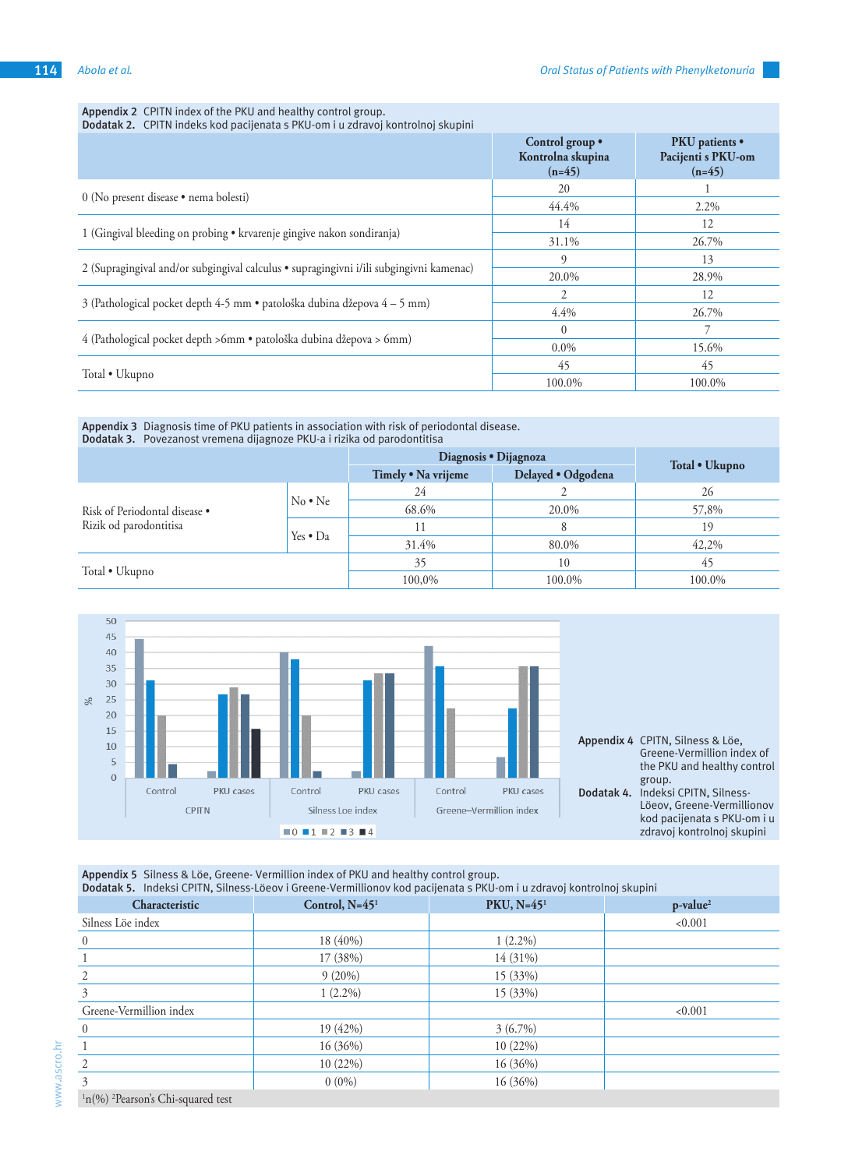#### **Appendix 2** CPITN index of the PKU and healthy control group.

**Dodatak 2.** CPITN indeks kod pacijenata s PKU-om i u zdravoj kontrolnoj skupini

|                                                                                         | Control group .<br>Kontrolna skupina<br>$(n=45)$ | <b>PKU</b> patients •<br>Pacijenti s PKU-om<br>$(n=45)$ |
|-----------------------------------------------------------------------------------------|--------------------------------------------------|---------------------------------------------------------|
| 0 (No present disease · nema bolesti)                                                   | 20                                               |                                                         |
|                                                                                         | 44.4%                                            | $2.2\%$                                                 |
|                                                                                         | 14                                               | 12                                                      |
| 1 (Gingival bleeding on probing • krvarenje gingive nakon sondiranja)                   | 31.1%                                            | 26.7%                                                   |
|                                                                                         | q                                                | 13                                                      |
| 2 (Supragingival and/or subgingival calculus • supragingivni i/ili subgingivni kamenac) | 20.0%                                            | 28.9%                                                   |
|                                                                                         | 2                                                | 12                                                      |
| 3 (Pathological pocket depth 4-5 mm · patološka dubina džepova 4 – 5 mm)                | 4.4%                                             | 26.7%                                                   |
|                                                                                         | $\Omega$                                         |                                                         |
| 4 (Pathological pocket depth >6mm · patološka dubina džepova > 6mm)                     | $0.0\%$                                          | 15.6%                                                   |
|                                                                                         | 45                                               | 45                                                      |
| Total • Ukupno                                                                          | 100.0%                                           | 100.0%                                                  |

#### **Appendix 3** Diagnosis time of PKU patients in association with risk of periodontal disease. **Dodatak 3.** Povezanost vremena dijagnoze PKU-a i rizika od parodontitisa

|                               |                  | Diagnosis • Dijagnoza |                    |                |
|-------------------------------|------------------|-----------------------|--------------------|----------------|
|                               |                  | Timely . Na vrijeme   | Delayed · Odgođena | Total • Ukupno |
|                               | $No \cdot Ne$    | 24                    |                    | 26             |
| Risk of Periodontal disease . |                  | 68.6%                 | 20.0%              | 57,8%          |
| Rizik od parodontitisa        | Yes $\bullet$ Da | 11                    |                    | 19             |
|                               |                  | 31.4%                 | 80.0%              | 42,2%          |
|                               |                  | 35                    | 10                 | 45             |
| Total • Ukupno                |                  | 100,0%                | 100.0%             | 100.0%         |



**Appendix 5** Silness & Löe, Greene- Vermillion index of PKU and healthy control group.

**Dodatak 5.** Indeksi CPITN, Silness-Löeov i Greene-Vermillionov kod pacijenata s PKU-om i u zdravoj kontrolnoj skupini

| Characteristic                  | Control, N=45 <sup>1</sup> | PKU, $N=451$ | p-value <sup>2</sup> |
|---------------------------------|----------------------------|--------------|----------------------|
| Silness Löe index               |                            |              | < 0.001              |
| $\mathbf{0}$                    | 18 (40%)                   | $1(2.2\%)$   |                      |
|                                 | 17 (38%)                   | 14 (31%)     |                      |
|                                 | $9(20\%)$                  | 15 (33%)     |                      |
| 3                               | $1(2.2\%)$                 | 15 (33%)     |                      |
| Greene-Vermillion index         |                            |              | < 0.001              |
|                                 | 19 (42%)                   | $3(6.7\%)$   |                      |
|                                 | 16(36%)                    | 10(22%)      |                      |
|                                 | $10(22\%)$                 | 16 (36%)     |                      |
| 3                               | $0(0\%)$                   | 16(36%)      |                      |
| $1.00(1.2D_{11}, \ldots, 1.01)$ |                            |              |                      |

<sup>1</sup>n(%) <sup>2</sup>Pearson's Chi-squared test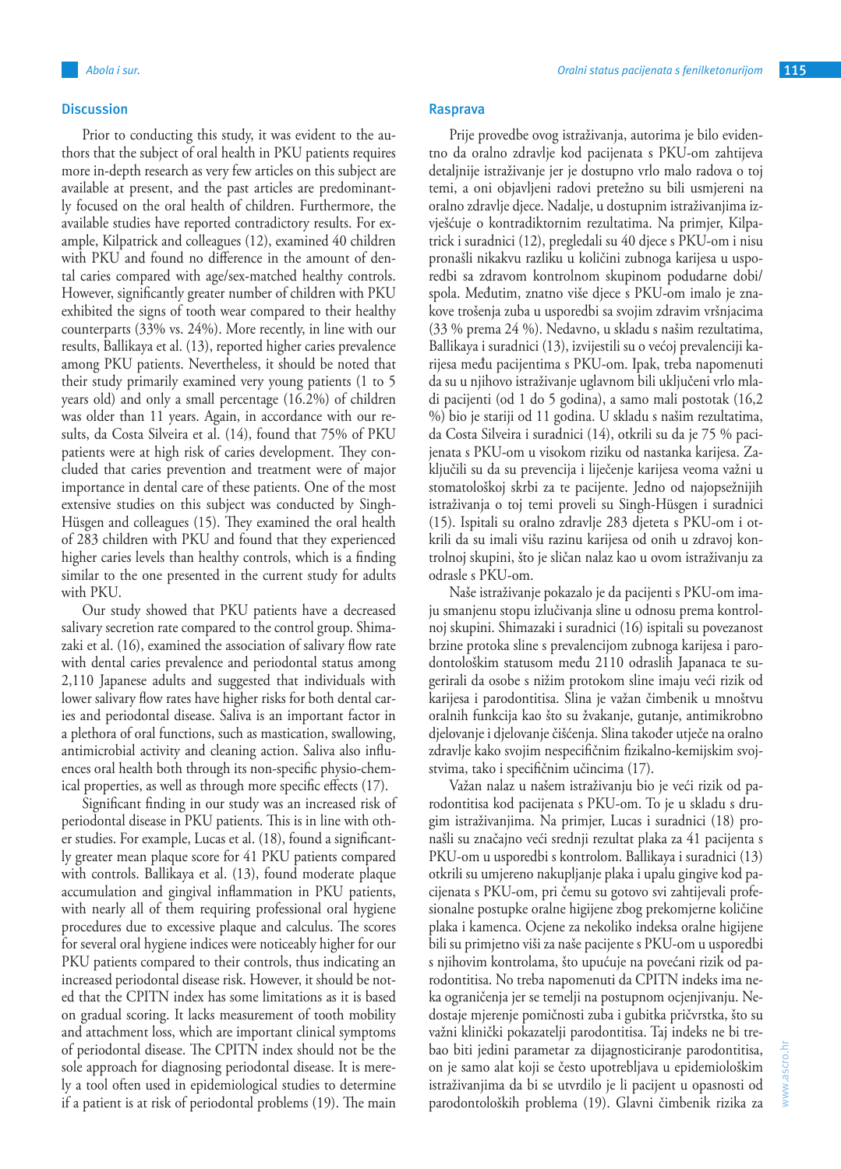## **Discussion**

Prior to conducting this study, it was evident to the authors that the subject of oral health in PKU patients requires more in-depth research as very few articles on this subject are available at present, and the past articles are predominantly focused on the oral health of children. Furthermore, the available studies have reported contradictory results. For example, Kilpatrick and colleagues (12), examined 40 children with PKU and found no difference in the amount of dental caries compared with age/sex-matched healthy controls. However, significantly greater number of children with PKU exhibited the signs of tooth wear compared to their healthy counterparts (33% vs. 24%). More recently, in line with our results, Ballikaya et al. (13), reported higher caries prevalence among PKU patients. Nevertheless, it should be noted that their study primarily examined very young patients (1 to 5 years old) and only a small percentage (16.2%) of children was older than 11 years. Again, in accordance with our results, da Costa Silveira et al. (14), found that 75% of PKU patients were at high risk of caries development. They concluded that caries prevention and treatment were of major importance in dental care of these patients. One of the most extensive studies on this subject was conducted by Singh-Hüsgen and colleagues (15). They examined the oral health of 283 children with PKU and found that they experienced higher caries levels than healthy controls, which is a finding similar to the one presented in the current study for adults with PKU.

Our study showed that PKU patients have a decreased salivary secretion rate compared to the control group. Shimazaki et al. (16), examined the association of salivary flow rate with dental caries prevalence and periodontal status among 2,110 Japanese adults and suggested that individuals with lower salivary flow rates have higher risks for both dental caries and periodontal disease. Saliva is an important factor in a plethora of oral functions, such as mastication, swallowing, antimicrobial activity and cleaning action. Saliva also influences oral health both through its non-specific physio-chemical properties, as well as through more specific effects (17).

Significant finding in our study was an increased risk of periodontal disease in PKU patients. This is in line with other studies. For example, Lucas et al. (18), found a significantly greater mean plaque score for 41 PKU patients compared with controls. Ballikaya et al. (13), found moderate plaque accumulation and gingival inflammation in PKU patients, with nearly all of them requiring professional oral hygiene procedures due to excessive plaque and calculus. The scores for several oral hygiene indices were noticeably higher for our PKU patients compared to their controls, thus indicating an increased periodontal disease risk. However, it should be noted that the CPITN index has some limitations as it is based on gradual scoring. It lacks measurement of tooth mobility and attachment loss, which are important clinical symptoms of periodontal disease. The CPITN index should not be the sole approach for diagnosing periodontal disease. It is merely a tool often used in epidemiological studies to determine if a patient is at risk of periodontal problems (19). The main

## **Rasprava**

Prije provedbe ovog istraživanja, autorima je bilo evidentno da oralno zdravlje kod pacijenata s PKU-om zahtijeva detaljnije istraživanje jer je dostupno vrlo malo radova o toj temi, a oni objavljeni radovi pretežno su bili usmjereni na oralno zdravlje djece. Nadalje, u dostupnim istraživanjima izvješćuje o kontradiktornim rezultatima. Na primjer, Kilpatrick i suradnici (12), pregledali su 40 djece s PKU-om i nisu pronašli nikakvu razliku u količini zubnoga karijesa u usporedbi sa zdravom kontrolnom skupinom podudarne dobi/ spola. Međutim, znatno više djece s PKU-om imalo je znakove trošenja zuba u usporedbi sa svojim zdravim vršnjacima (33 % prema 24 %). Nedavno, u skladu s našim rezultatima, Ballikaya i suradnici (13), izvijestili su o većoj prevalenciji karijesa među pacijentima s PKU-om. Ipak, treba napomenuti da su u njihovo istraživanje uglavnom bili uključeni vrlo mladi pacijenti (od 1 do 5 godina), a samo mali postotak (16,2 %) bio je stariji od 11 godina. U skladu s našim rezultatima, da Costa Silveira i suradnici (14), otkrili su da je 75 % pacijenata s PKU-om u visokom riziku od nastanka karijesa. Zaključili su da su prevencija i liječenje karijesa veoma važni u stomatološkoj skrbi za te pacijente. Jedno od najopsežnijih istraživanja o toj temi proveli su Singh-Hüsgen i suradnici (15). Ispitali su oralno zdravlje 283 djeteta s PKU-om i otkrili da su imali višu razinu karijesa od onih u zdravoj kontrolnoj skupini, što je sličan nalaz kao u ovom istraživanju za odrasle s PKU-om.

Naše istraživanje pokazalo je da pacijenti s PKU-om imaju smanjenu stopu izlučivanja sline u odnosu prema kontrolnoj skupini. Shimazaki i suradnici (16) ispitali su povezanost brzine protoka sline s prevalencijom zubnoga karijesa i parodontološkim statusom među 2110 odraslih Japanaca te sugerirali da osobe s nižim protokom sline imaju veći rizik od karijesa i parodontitisa. Slina je važan čimbenik u mnoštvu oralnih funkcija kao što su žvakanje, gutanje, antimikrobno djelovanje i djelovanje čišćenja. Slina također utječe na oralno zdravlje kako svojim nespecifičnim fizikalno-kemijskim svojstvima, tako i specifičnim učincima (17).

Važan nalaz u našem istraživanju bio je veći rizik od parodontitisa kod pacijenata s PKU-om. To je u skladu s drugim istraživanjima. Na primjer, Lucas i suradnici (18) pronašli su značajno veći srednji rezultat plaka za 41 pacijenta s PKU-om u usporedbi s kontrolom. Ballikaya i suradnici (13) otkrili su umjereno nakupljanje plaka i upalu gingive kod pacijenata s PKU-om, pri čemu su gotovo svi zahtijevali profesionalne postupke oralne higijene zbog prekomjerne količine plaka i kamenca. Ocjene za nekoliko indeksa oralne higijene bili su primjetno viši za naše pacijente s PKU-om u usporedbi s njihovim kontrolama, što upućuje na povećani rizik od parodontitisa. No treba napomenuti da CPITN indeks ima neka ograničenja jer se temelji na postupnom ocjenjivanju. Nedostaje mjerenje pomičnosti zuba i gubitka pričvrstka, što su važni klinički pokazatelji parodontitisa. Taj indeks ne bi trebao biti jedini parametar za dijagnosticiranje parodontitisa, on je samo alat koji se često upotrebljava u epidemiološkim istraživanjima da bi se utvrdilo je li pacijent u opasnosti od parodontoloških problema (19). Glavni čimbenik rizika za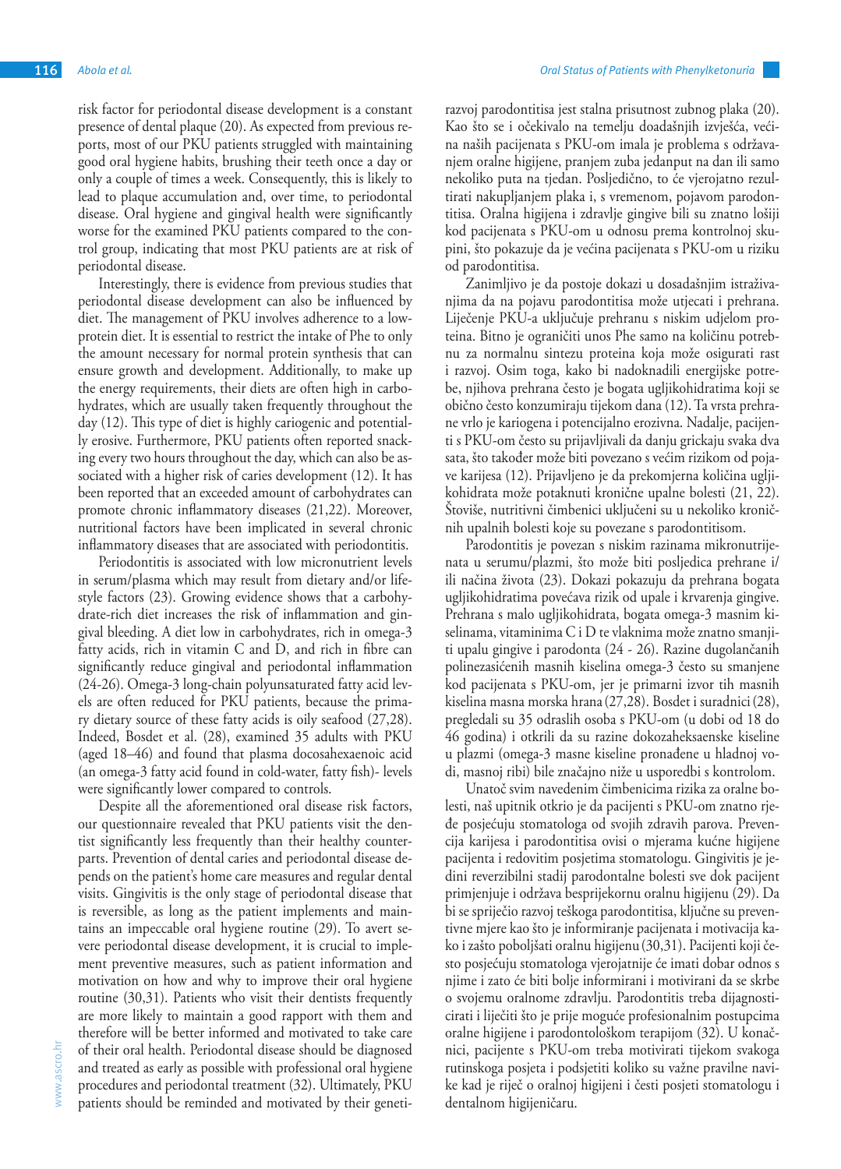risk factor for periodontal disease development is a constant presence of dental plaque (20). As expected from previous reports, most of our PKU patients struggled with maintaining good oral hygiene habits, brushing their teeth once a day or only a couple of times a week. Consequently, this is likely to lead to plaque accumulation and, over time, to periodontal disease. Oral hygiene and gingival health were significantly worse for the examined PKU patients compared to the control group, indicating that most PKU patients are at risk of periodontal disease.

Interestingly, there is evidence from previous studies that periodontal disease development can also be influenced by diet. The management of PKU involves adherence to a lowprotein diet. It is essential to restrict the intake of Phe to only the amount necessary for normal protein synthesis that can ensure growth and development. Additionally, to make up the energy requirements, their diets are often high in carbohydrates, which are usually taken frequently throughout the day (12). This type of diet is highly cariogenic and potentially erosive. Furthermore, PKU patients often reported snacking every two hours throughout the day, which can also be associated with a higher risk of caries development (12). It has been reported that an exceeded amount of carbohydrates can promote chronic inflammatory diseases (21,22). Moreover, nutritional factors have been implicated in several chronic inflammatory diseases that are associated with periodontitis.

Periodontitis is associated with low micronutrient levels in serum/plasma which may result from dietary and/or lifestyle factors (23). Growing evidence shows that a carbohydrate-rich diet increases the risk of inflammation and gingival bleeding. A diet low in carbohydrates, rich in omega-3 fatty acids, rich in vitamin C and D, and rich in fibre can significantly reduce gingival and periodontal inflammation (24-26). Omega-3 long-chain polyunsaturated fatty acid levels are often reduced for PKU patients, because the primary dietary source of these fatty acids is oily seafood (27,28). Indeed, Bosdet et al. (28), examined 35 adults with PKU (aged 18–46) and found that plasma docosahexaenoic acid (an omega-3 fatty acid found in cold-water, fatty fish)- levels were significantly lower compared to controls.

Despite all the aforementioned oral disease risk factors, our questionnaire revealed that PKU patients visit the dentist significantly less frequently than their healthy counterparts. Prevention of dental caries and periodontal disease depends on the patient's home care measures and regular dental visits. Gingivitis is the only stage of periodontal disease that is reversible, as long as the patient implements and maintains an impeccable oral hygiene routine (29). To avert severe periodontal disease development, it is crucial to implement preventive measures, such as patient information and motivation on how and why to improve their oral hygiene routine (30,31). Patients who visit their dentists frequently are more likely to maintain a good rapport with them and therefore will be better informed and motivated to take care of their oral health. Periodontal disease should be diagnosed and treated as early as possible with professional oral hygiene procedures and periodontal treatment (32). Ultimately, PKU patients should be reminded and motivated by their genetirazvoj parodontitisa jest stalna prisutnost zubnog plaka (20). Kao što se i očekivalo na temelju doadašnjih izvješća, većina naših pacijenata s PKU-om imala je problema s održavanjem oralne higijene, pranjem zuba jedanput na dan ili samo nekoliko puta na tjedan. Posljedično, to će vjerojatno rezultirati nakupljanjem plaka i, s vremenom, pojavom parodontitisa. Oralna higijena i zdravlje gingive bili su znatno lošiji kod pacijenata s PKU-om u odnosu prema kontrolnoj skupini, što pokazuje da je većina pacijenata s PKU-om u riziku od parodontitisa.

Zanimljivo je da postoje dokazi u dosadašnjim istraživanjima da na pojavu parodontitisa može utjecati i prehrana. Liječenje PKU-a uključuje prehranu s niskim udjelom proteina. Bitno je ograničiti unos Phe samo na količinu potrebnu za normalnu sintezu proteina koja može osigurati rast i razvoj. Osim toga, kako bi nadoknadili energijske potrebe, njihova prehrana često je bogata ugljikohidratima koji se obično često konzumiraju tijekom dana (12). Ta vrsta prehrane vrlo je kariogena i potencijalno erozivna. Nadalje, pacijenti s PKU-om često su prijavljivali da danju grickaju svaka dva sata, što također može biti povezano s većim rizikom od pojave karijesa (12). Prijavljeno je da prekomjerna količina ugljikohidrata može potaknuti kronične upalne bolesti (21, 22). Štoviše, nutritivni čimbenici uključeni su u nekoliko kroničnih upalnih bolesti koje su povezane s parodontitisom.

Parodontitis je povezan s niskim razinama mikronutrijenata u serumu/plazmi, što može biti posljedica prehrane i/ ili načina života (23). Dokazi pokazuju da prehrana bogata ugljikohidratima povećava rizik od upale i krvarenja gingive. Prehrana s malo ugljikohidrata, bogata omega-3 masnim kiselinama, vitaminima C i D te vlaknima može znatno smanjiti upalu gingive i parodonta (24 - 26). Razine dugolančanih polinezasićenih masnih kiselina omega-3 često su smanjene kod pacijenata s PKU-om, jer je primarni izvor tih masnih kiselina masna morska hrana (27,28). Bosdet i suradnici(28), pregledali su 35 odraslih osoba s PKU-om (u dobi od 18 do 46 godina) i otkrili da su razine dokozaheksaenske kiseline u plazmi (omega-3 masne kiseline pronađene u hladnoj vodi, masnoj ribi) bile značajno niže u usporedbi s kontrolom.

Unatoč svim navedenim čimbenicima rizika za oralne bolesti, naš upitnik otkrio je da pacijenti s PKU-om znatno rjeđe posjećuju stomatologa od svojih zdravih parova. Prevencija karijesa i parodontitisa ovisi o mjerama kućne higijene pacijenta i redovitim posjetima stomatologu. Gingivitis je jedini reverzibilni stadij parodontalne bolesti sve dok pacijent primjenjuje i održava besprijekornu oralnu higijenu (29). Da bi se spriječio razvoj teškoga parodontitisa, ključne su preventivne mjere kao što je informiranje pacijenata i motivacija kako i zašto poboljšati oralnu higijenu(30,31). Pacijenti koji često posjećuju stomatologa vjerojatnije će imati dobar odnos s njime i zato će biti bolje informirani i motivirani da se skrbe o svojemu oralnome zdravlju. Parodontitis treba dijagnosticirati i liječiti što je prije moguće profesionalnim postupcima oralne higijene i parodontološkom terapijom (32). U konačnici, pacijente s PKU-om treba motivirati tijekom svakoga rutinskoga posjeta i podsjetiti koliko su važne pravilne navike kad je riječ o oralnoj higijeni i česti posjeti stomatologu i dentalnom higijeničaru.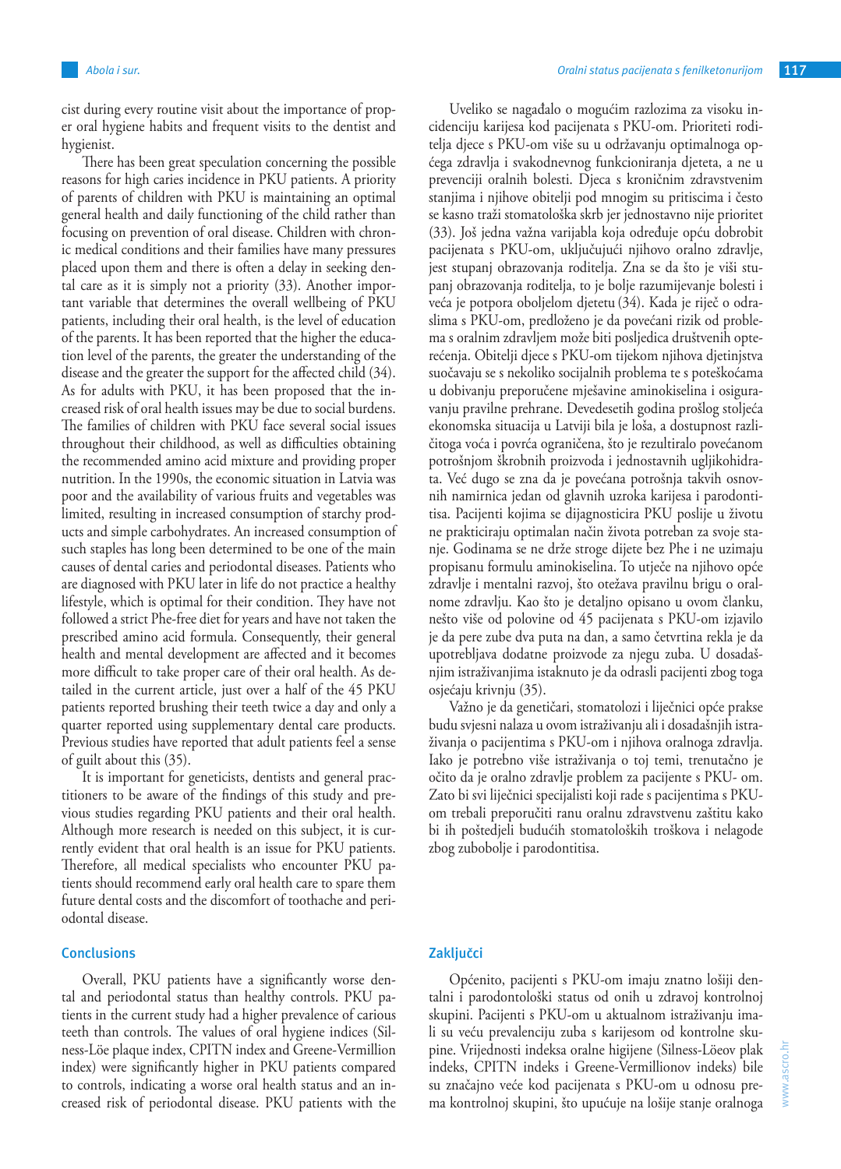cist during every routine visit about the importance of proper oral hygiene habits and frequent visits to the dentist and hygienist.

There has been great speculation concerning the possible reasons for high caries incidence in PKU patients. A priority of parents of children with PKU is maintaining an optimal general health and daily functioning of the child rather than focusing on prevention of oral disease. Children with chronic medical conditions and their families have many pressures placed upon them and there is often a delay in seeking dental care as it is simply not a priority (33). Another important variable that determines the overall wellbeing of PKU patients, including their oral health, is the level of education of the parents. It has been reported that the higher the education level of the parents, the greater the understanding of the disease and the greater the support for the affected child (34). As for adults with PKU, it has been proposed that the increased risk of oral health issues may be due to social burdens. The families of children with PKU face several social issues throughout their childhood, as well as difficulties obtaining the recommended amino acid mixture and providing proper nutrition. In the 1990s, the economic situation in Latvia was poor and the availability of various fruits and vegetables was limited, resulting in increased consumption of starchy products and simple carbohydrates. An increased consumption of such staples has long been determined to be one of the main causes of dental caries and periodontal diseases. Patients who are diagnosed with PKU later in life do not practice a healthy lifestyle, which is optimal for their condition. They have not followed a strict Phe-free diet for years and have not taken the prescribed amino acid formula. Consequently, their general health and mental development are affected and it becomes more difficult to take proper care of their oral health. As detailed in the current article, just over a half of the 45 PKU patients reported brushing their teeth twice a day and only a quarter reported using supplementary dental care products. Previous studies have reported that adult patients feel a sense of guilt about this (35).

It is important for geneticists, dentists and general practitioners to be aware of the findings of this study and previous studies regarding PKU patients and their oral health. Although more research is needed on this subject, it is currently evident that oral health is an issue for PKU patients. Therefore, all medical specialists who encounter PKU patients should recommend early oral health care to spare them future dental costs and the discomfort of toothache and periodontal disease.

## **Conclusions**

Overall, PKU patients have a significantly worse dental and periodontal status than healthy controls. PKU patients in the current study had a higher prevalence of carious teeth than controls. The values of oral hygiene indices (Silness-Löe plaque index, CPITN index and Greene-Vermillion index) were significantly higher in PKU patients compared to controls, indicating a worse oral health status and an increased risk of periodontal disease. PKU patients with the

Uveliko se nagađalo o mogućim razlozima za visoku incidenciju karijesa kod pacijenata s PKU-om. Prioriteti roditelja djece s PKU-om više su u održavanju optimalnoga općega zdravlja i svakodnevnog funkcioniranja djeteta, a ne u prevenciji oralnih bolesti. Djeca s kroničnim zdravstvenim stanjima i njihove obitelji pod mnogim su pritiscima i često se kasno traži stomatološka skrb jer jednostavno nije prioritet (33). Još jedna važna varijabla koja određuje opću dobrobit pacijenata s PKU-om, uključujući njihovo oralno zdravlje, jest stupanj obrazovanja roditelja. Zna se da što je viši stupanj obrazovanja roditelja, to je bolje razumijevanje bolesti i veća je potpora oboljelom djetetu (34). Kada je riječ o odraslima s PKU-om, predloženo je da povećani rizik od problema s oralnim zdravljem može biti posljedica društvenih opterećenja. Obitelji djece s PKU-om tijekom njihova djetinjstva suočavaju se s nekoliko socijalnih problema te s poteškoćama u dobivanju preporučene mješavine aminokiselina i osiguravanju pravilne prehrane. Devedesetih godina prošlog stoljeća ekonomska situacija u Latviji bila je loša, a dostupnost različitoga voća i povrća ograničena, što je rezultiralo povećanom potrošnjom škrobnih proizvoda i jednostavnih ugljikohidrata. Već dugo se zna da je povećana potrošnja takvih osnovnih namirnica jedan od glavnih uzroka karijesa i parodontitisa. Pacijenti kojima se dijagnosticira PKU poslije u životu ne prakticiraju optimalan način života potreban za svoje stanje. Godinama se ne drže stroge dijete bez Phe i ne uzimaju propisanu formulu aminokiselina. To utječe na njihovo opće zdravlje i mentalni razvoj, što otežava pravilnu brigu o oralnome zdravlju. Kao što je detaljno opisano u ovom članku, nešto više od polovine od 45 pacijenata s PKU-om izjavilo je da pere zube dva puta na dan, a samo četvrtina rekla je da upotrebljava dodatne proizvode za njegu zuba. U dosadašnjim istraživanjima istaknuto je da odrasli pacijenti zbog toga osjećaju krivnju (35).

Važno je da genetičari, stomatolozi i liječnici opće prakse budu svjesni nalaza u ovom istraživanju ali i dosadašnjih istraživanja o pacijentima s PKU-om i njihova oralnoga zdravlja. Iako je potrebno više istraživanja o toj temi, trenutačno je očito da je oralno zdravlje problem za pacijente s PKU- om. Zato bi svi liječnici specijalisti koji rade s pacijentima s PKUom trebali preporučiti ranu oralnu zdravstvenu zaštitu kako bi ih poštedjeli budućih stomatoloških troškova i nelagode zbog zubobolje i parodontitisa.

## **Zaključci**

Općenito, pacijenti s PKU-om imaju znatno lošiji dentalni i parodontološki status od onih u zdravoj kontrolnoj skupini. Pacijenti s PKU-om u aktualnom istraživanju imali su veću prevalenciju zuba s karijesom od kontrolne skupine. Vrijednosti indeksa oralne higijene (Silness-Löeov plak indeks, CPITN indeks i Greene-Vermillionov indeks) bile su značajno veće kod pacijenata s PKU-om u odnosu prema kontrolnoj skupini, što upućuje na lošije stanje oralnoga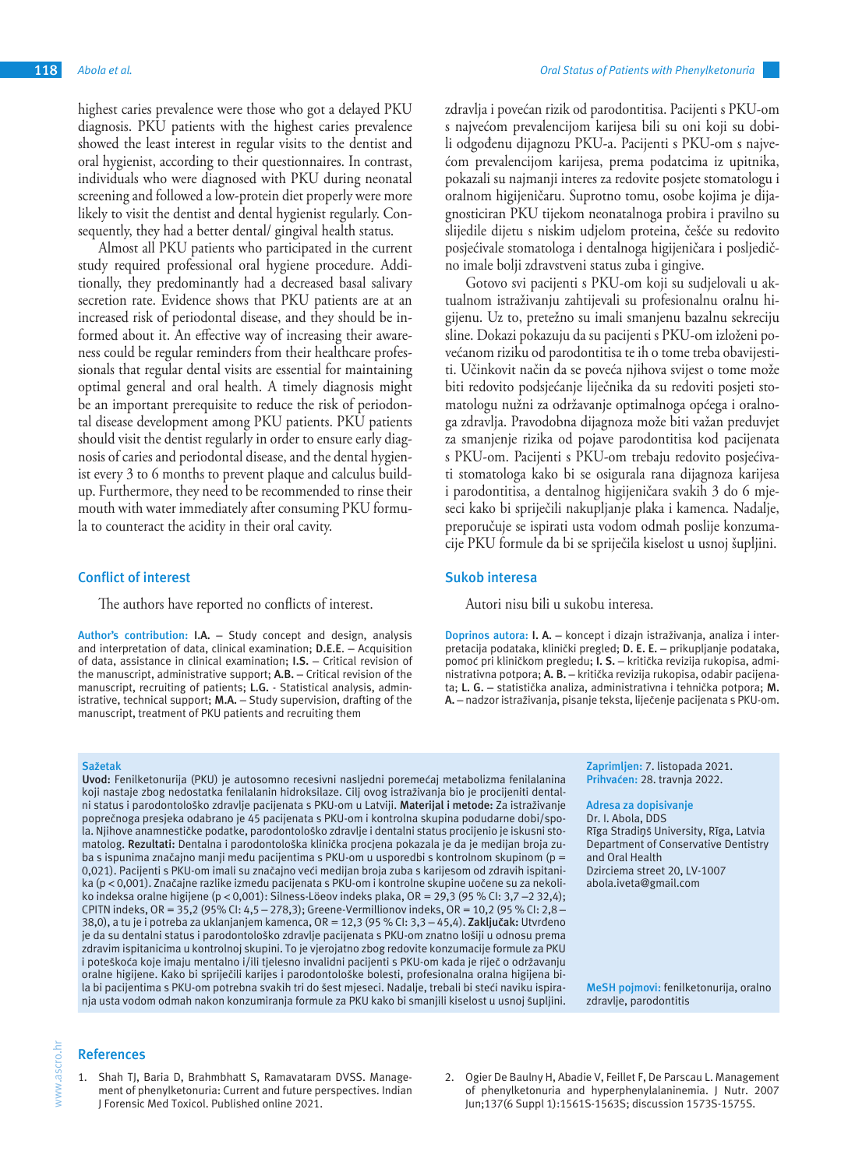highest caries prevalence were those who got a delayed PKU diagnosis. PKU patients with the highest caries prevalence showed the least interest in regular visits to the dentist and oral hygienist, according to their questionnaires. In contrast, individuals who were diagnosed with PKU during neonatal screening and followed a low-protein diet properly were more likely to visit the dentist and dental hygienist regularly. Consequently, they had a better dental/ gingival health status.

Almost all PKU patients who participated in the current study required professional oral hygiene procedure. Additionally, they predominantly had a decreased basal salivary secretion rate. Evidence shows that PKU patients are at an increased risk of periodontal disease, and they should be informed about it. An effective way of increasing their awareness could be regular reminders from their healthcare professionals that regular dental visits are essential for maintaining optimal general and oral health. A timely diagnosis might be an important prerequisite to reduce the risk of periodontal disease development among PKU patients. PKU patients should visit the dentist regularly in order to ensure early diagnosis of caries and periodontal disease, and the dental hygienist every 3 to 6 months to prevent plaque and calculus buildup. Furthermore, they need to be recommended to rinse their mouth with water immediately after consuming PKU formula to counteract the acidity in their oral cavity.

### **Conflict of interest**

The authors have reported no conflicts of interest.

**Author's contribution: I.A.** – Study concept and design, analysis and interpretation of data, clinical examination; **D.E.E**. – Acquisition of data, assistance in clinical examination; **I.S.** – Critical revision of the manuscript, administrative support; **A.B.** – Critical revision of the manuscript, recruiting of patients; **L.G.** - Statistical analysis, administrative, technical support; **M.A.** – Study supervision, drafting of the manuscript, treatment of PKU patients and recruiting them

#### **Sažetak**

**Uvod:** Fenilketonurija (PKU) je autosomno recesivni nasljedni poremećaj metabolizma fenilalanina koji nastaje zbog nedostatka fenilalanin hidroksilaze. Cilj ovog istraživanja bio je procijeniti dentalni status i parodontološko zdravlje pacijenata s PKU-om u Latviji. **Materijal i metode:** Za istraživanje poprečnoga presjeka odabrano je 45 pacijenata s PKU-om i kontrolna skupina podudarne dobi/spola. Njihove anamnestičke podatke, parodontološko zdravlje i dentalni status procijenio je iskusni stomatolog. **Rezultati:** Dentalna i parodontološka klinička procjena pokazala je da je medijan broja zuba s ispunima značajno manji među pacijentima s PKU-om u usporedbi s kontrolnom skupinom (p = 0,021). Pacijenti s PKU-om imali su značajno veći medijan broja zuba s karijesom od zdravih ispitanika (p < 0,001). Značajne razlike između pacijenata s PKU-om i kontrolne skupine uočene su za nekoliko indeksa oralne higijene (p < 0,001): Silness-Löeov indeks plaka, OR = 29,3 (95 % CI: 3,7 -2 32,4); CPITN indeks, OR = 35,2 (95% CI: 4,5 – 278,3); Greene-Vermillionov indeks, OR = 10,2 (95 % CI: 2,8 – 38,0), a tu je i potreba za uklanjanjem kamenca, OR = 12,3 (95 % CI: 3,3 – 45,4). **Zaključak:** Utvrđeno je da su dentalni status i parodontološko zdravlje pacijenata s PKU-om znatno lošiji u odnosu prema zdravim ispitanicima u kontrolnoj skupini. To je vjerojatno zbog redovite konzumacije formule za PKU i poteškoća koje imaju mentalno i/ili tjelesno invalidni pacijenti s PKU-om kada je riječ o održavanju oralne higijene. Kako bi spriječili karijes i parodontološke bolesti, profesionalna oralna higijena bila bi pacijentima s PKU-om potrebna svakih tri do šest mjeseci. Nadalje, trebali bi steći naviku ispiranja usta vodom odmah nakon konzumiranja formule za PKU kako bi smanjili kiselost u usnoj šupljini.

#### **References**

1. Shah TJ, Baria D, Brahmbhatt S, Ramavataram DVSS. Management of phenylketonuria: Current and future perspectives. Indian J Forensic Med Toxicol. Published online 2021.

zdravlja i povećan rizik od parodontitisa. Pacijenti s PKU-om s najvećom prevalencijom karijesa bili su oni koji su dobili odgođenu dijagnozu PKU-a. Pacijenti s PKU-om s najvećom prevalencijom karijesa, prema podatcima iz upitnika, pokazali su najmanji interes za redovite posjete stomatologu i oralnom higijeničaru. Suprotno tomu, osobe kojima je dijagnosticiran PKU tijekom neonatalnoga probira i pravilno su slijedile dijetu s niskim udjelom proteina, češće su redovito posjećivale stomatologa i dentalnoga higijeničara i posljedično imale bolji zdravstveni status zuba i gingive.

Gotovo svi pacijenti s PKU-om koji su sudjelovali u aktualnom istraživanju zahtijevali su profesionalnu oralnu higijenu. Uz to, pretežno su imali smanjenu bazalnu sekreciju sline. Dokazi pokazuju da su pacijenti s PKU-om izloženi povećanom riziku od parodontitisa te ih o tome treba obavijestiti. Učinkovit način da se poveća njihova svijest o tome može biti redovito podsjećanje liječnika da su redoviti posjeti stomatologu nužni za održavanje optimalnoga općega i oralnoga zdravlja. Pravodobna dijagnoza može biti važan preduvjet za smanjenje rizika od pojave parodontitisa kod pacijenata s PKU-om. Pacijenti s PKU-om trebaju redovito posjećivati stomatologa kako bi se osigurala rana dijagnoza karijesa i parodontitisa, a dentalnog higijeničara svakih 3 do 6 mjeseci kako bi spriječili nakupljanje plaka i kamenca. Nadalje, preporučuje se ispirati usta vodom odmah poslije konzumacije PKU formule da bi se spriječila kiselost u usnoj šupljini.

### **Sukob interesa**

Autori nisu bili u sukobu interesa.

**Doprinos autora: I. A.** – koncept i dizajn istraživanja, analiza i interpretacija podataka, klinički pregled; **D. E. E.** – prikupljanje podataka, pomoć pri kliničkom pregledu; **I. S.** – kritička revizija rukopisa, administrativna potpora; **A. B.** – kritička revizija rukopisa, odabir pacijenata; **L. G.** – statistička analiza, administrativna i tehnička potpora; **M. A.** – nadzor istraživanja, pisanje teksta, liječenje pacijenata s PKU-om.

> **Zaprimljen:** 7. listopada 2021. **Prihvaćen:** 28. travnja 2022.

**Adresa za dopisivanje** Dr. I. Abola, DDS Rīga Stradiņš University, Rīga, Latvia Department of Conservative Dentistry and Oral Health Dzirciema street 20, LV-1007 abola.iveta@gmail.com

**MeSH pojmovi:** fenilketonurija, oralno zdravlje, parodontitis

2. Ogier De Baulny H, Abadie V, Feillet F, De Parscau L. Management of phenylketonuria and hyperphenylalaninemia. J Nutr. 2007 Jun;137(6 Suppl 1):1561S-1563S; discussion 1573S-1575S.